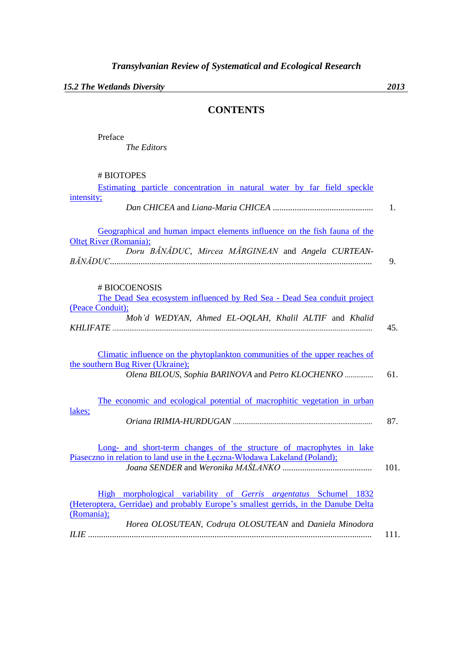*15.2 The Wetlands Diversity 2013*

## **CONTENTS**

Preface *The Editors*

| # BIOTOPES                                                                             |      |
|----------------------------------------------------------------------------------------|------|
| Estimating particle concentration in natural water by far field speckle                |      |
| intensity;                                                                             |      |
|                                                                                        | 1.   |
|                                                                                        |      |
| Geographical and human impact elements influence on the fish fauna of the              |      |
| Oltet River (Romania);                                                                 |      |
| Doru BĂNĂDUC, Mircea MĂRGINEAN and Angela CURTEAN-                                     |      |
|                                                                                        | 9.   |
|                                                                                        |      |
| # BIOCOENOSIS                                                                          |      |
| The Dead Sea ecosystem influenced by Red Sea - Dead Sea conduit project                |      |
| (Peace Conduit);                                                                       |      |
| Moh'd WEDYAN, Ahmed EL-OQLAH, Khalil ALTIF and Khalid                                  |      |
|                                                                                        | 45.  |
|                                                                                        |      |
|                                                                                        |      |
| Climatic influence on the phytoplankton communities of the upper reaches of            |      |
| the southern Bug River (Ukraine);<br>Olena BILOUS, Sophia BARINOVA and Petro KLOCHENKO | 61.  |
|                                                                                        |      |
|                                                                                        |      |
| The economic and ecological potential of macrophitic vegetation in urban               |      |
| lakes;                                                                                 |      |
|                                                                                        | 87.  |
|                                                                                        |      |
| Long- and short-term changes of the structure of macrophytes in lake                   |      |
| Piaseczno in relation to land use in the Leczna-Włodawa Lakeland (Poland);             |      |
|                                                                                        | 101. |
|                                                                                        |      |
| High morphological variability of Gerris argentatus Schumel 1832                       |      |
| (Heteroptera, Gerridae) and probably Europe's smallest gerrids, in the Danube Delta    |      |
| (Romania);                                                                             |      |
| Horea OLOSUTEAN, Codruta OLOSUTEAN and Daniela Minodora                                |      |
|                                                                                        | 111. |